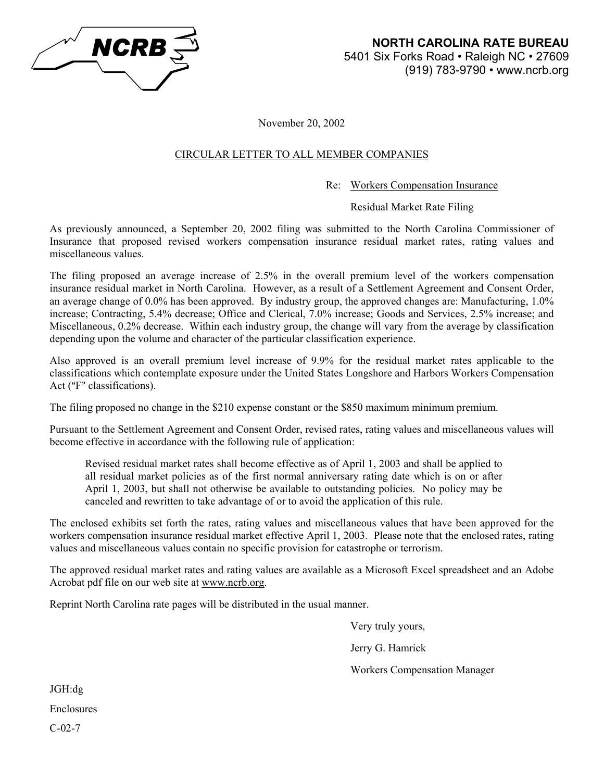

November 20, 2002

# CIRCULAR LETTER TO ALL MEMBER COMPANIES

# Re: Workers Compensation Insurance

# Residual Market Rate Filing

As previously announced, a September 20, 2002 filing was submitted to the North Carolina Commissioner of Insurance that proposed revised workers compensation insurance residual market rates, rating values and miscellaneous values.

The filing proposed an average increase of 2.5% in the overall premium level of the workers compensation insurance residual market in North Carolina. However, as a result of a Settlement Agreement and Consent Order, an average change of 0.0% has been approved. By industry group, the approved changes are: Manufacturing, 1.0% increase; Contracting, 5.4% decrease; Office and Clerical, 7.0% increase; Goods and Services, 2.5% increase; and Miscellaneous, 0.2% decrease. Within each industry group, the change will vary from the average by classification depending upon the volume and character of the particular classification experience.

Also approved is an overall premium level increase of 9.9% for the residual market rates applicable to the classifications which contemplate exposure under the United States Longshore and Harbors Workers Compensation Act ("F" classifications).

The filing proposed no change in the \$210 expense constant or the \$850 maximum minimum premium.

Pursuant to the Settlement Agreement and Consent Order, revised rates, rating values and miscellaneous values will become effective in accordance with the following rule of application:

Revised residual market rates shall become effective as of April 1, 2003 and shall be applied to all residual market policies as of the first normal anniversary rating date which is on or after April 1, 2003, but shall not otherwise be available to outstanding policies. No policy may be canceled and rewritten to take advantage of or to avoid the application of this rule.

The enclosed exhibits set forth the rates, rating values and miscellaneous values that have been approved for the workers compensation insurance residual market effective April 1, 2003. Please note that the enclosed rates, rating values and miscellaneous values contain no specific provision for catastrophe or terrorism.

The approved residual market rates and rating values are available as a Microsoft Excel spreadsheet and an Adobe Acrobat pdf file on our web site at www.ncrb.org.

Reprint North Carolina rate pages will be distributed in the usual manner.

 Very truly yours, Jerry G. Hamrick

Workers Compensation Manager

JGH:dg Enclosures C-02-7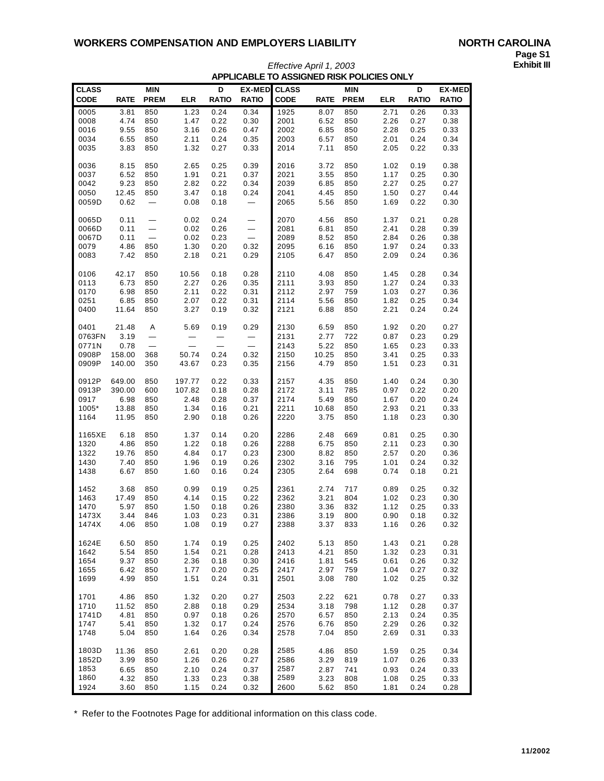| <b>CLASS</b> |             | MIN                      |            | D            | <b>EX-MED</b> | <b>CLASS</b> |             | <b>MIN</b>  |            | D            | <b>EX-MED</b> |
|--------------|-------------|--------------------------|------------|--------------|---------------|--------------|-------------|-------------|------------|--------------|---------------|
| <b>CODE</b>  | <b>RATE</b> | <b>PREM</b>              | <b>ELR</b> | <b>RATIO</b> | <b>RATIO</b>  | <b>CODE</b>  | <b>RATE</b> | <b>PREM</b> | <b>ELR</b> | <b>RATIO</b> | <b>RATIO</b>  |
| 0005         | 3.81        | 850                      | 1.23       | 0.24         | 0.34          | 1925         | 8.07        | 850         | 2.71       | 0.26         | 0.33          |
| 0008         | 4.74        | 850                      | 1.47       | 0.22         | 0.30          | 2001         | 6.52        | 850         | 2.26       | 0.27         | 0.38          |
| 0016         | 9.55        | 850                      | 3.16       | 0.26         | 0.47          | 2002         | 6.85        | 850         | 2.28       | 0.25         | 0.33          |
| 0034         | 6.55        | 850                      | 2.11       | 0.24         | 0.35          | 2003         | 6.57        | 850         | 2.01       | 0.24         | 0.34          |
| 0035         | 3.83        | 850                      | 1.32       | 0.27         | 0.33          | 2014         | 7.11        | 850         | 2.05       | 0.22         | 0.33          |
|              |             |                          |            |              |               |              |             |             |            |              |               |
| 0036         | 8.15        | 850                      | 2.65       | 0.25         | 0.39          | 2016         | 3.72        | 850         | 1.02       | 0.19         | 0.38          |
| 0037         | 6.52        | 850                      | 1.91       | 0.21         | 0.37          | 2021         | 3.55        | 850         | 1.17       | 0.25         | 0.30          |
| 0042         | 9.23        | 850                      | 2.82       | 0.22         | 0.34          | 2039         | 6.85        | 850         | 2.27       | 0.25         | 0.27          |
| 0050         | 12.45       | 850                      | 3.47       | 0.18         | 0.24          | 2041         | 4.45        | 850         | 1.50       | 0.27         | 0.44          |
| 0059D        | 0.62        |                          | 0.08       | 0.18         |               | 2065         | 5.56        | 850         | 1.69       | 0.22         | 0.30          |
|              |             |                          |            |              |               |              |             |             |            |              |               |
| 0065D        | 0.11        |                          | 0.02       | 0.24         |               | 2070         | 4.56        | 850         | 1.37       | 0.21         | 0.28          |
| 0066D        | 0.11        |                          | 0.02       | 0.26         |               | 2081         | 6.81        | 850         | 2.41       | 0.28         | 0.39          |
| 0067D        | 0.11        |                          | 0.02       | 0.23         |               | 2089         | 8.52        | 850         | 2.84       | 0.26         | 0.38          |
| 0079         | 4.86        | 850                      | 1.30       | 0.20         | 0.32          | 2095         | 6.16        | 850         | 1.97       | 0.24         | 0.33          |
| 0083         | 7.42        | 850                      | 2.18       | 0.21         | 0.29          | 2105         | 6.47        | 850         | 2.09       | 0.24         | 0.36          |
|              |             |                          |            |              |               |              |             |             |            |              |               |
|              |             |                          |            |              |               |              |             |             |            |              |               |
| 0106         | 42.17       | 850                      | 10.56      | 0.18         | 0.28          | 2110         | 4.08        | 850         | 1.45       | 0.28         | 0.34          |
| 0113         | 6.73        | 850                      | 2.27       | 0.26         | 0.35          | 2111         | 3.93        | 850         | 1.27       | 0.24         | 0.33          |
| 0170         | 6.98        | 850                      | 2.11       | 0.22         | 0.31          | 2112         | 2.97        | 759         | 1.03       | 0.27         | 0.36          |
| 0251         | 6.85        | 850                      | 2.07       | 0.22         | 0.31          | 2114         | 5.56        | 850         | 1.82       | 0.25         | 0.34          |
| 0400         | 11.64       | 850                      | 3.27       | 0.19         | 0.32          | 2121         | 6.88        | 850         | 2.21       | 0.24         | 0.24          |
|              |             |                          |            |              |               |              |             |             |            |              |               |
| 0401         | 21.48       | Α                        | 5.69       | 0.19         | 0.29          | 2130         | 6.59        | 850         | 1.92       | 0.20         | 0.27          |
| 0763FN       | 3.19        |                          |            |              |               | 2131         | 2.77        | 722         | 0.87       | 0.23         | 0.29          |
| 0771N        | 0.78        | $\overline{\phantom{0}}$ |            |              |               | 2143         | 5.22        | 850         | 1.65       | 0.23         | 0.33          |
| 0908P        | 158.00      | 368                      | 50.74      | 0.24         | 0.32          | 2150         | 10.25       | 850         | 3.41       | 0.25         | 0.33          |
| 0909P        | 140.00      | 350                      | 43.67      | 0.23         | 0.35          | 2156         | 4.79        | 850         | 1.51       | 0.23         | 0.31          |
|              |             |                          |            |              |               |              |             |             |            |              |               |
| 0912P        | 649.00      | 850                      | 197.77     | 0.22         | 0.33          | 2157         | 4.35        | 850         | 1.40       | 0.24         | 0.30          |
| 0913P        | 390.00      | 600                      | 107.82     | 0.18         | 0.28          | 2172         | 3.11        | 785         | 0.97       | 0.22         | 0.20          |
| 0917         | 6.98        | 850                      | 2.48       | 0.28         | 0.37          | 2174         | 5.49        | 850         | 1.67       | 0.20         | 0.24          |
| 1005*        | 13.88       | 850                      | 1.34       | 0.16         | 0.21          | 2211         | 10.68       | 850         | 2.93       | 0.21         | 0.33          |
| 1164         | 11.95       | 850                      | 2.90       | 0.18         | 0.26          | 2220         | 3.75        | 850         | 1.18       | 0.23         | 0.30          |
|              |             |                          |            |              |               |              |             |             |            |              |               |
| 1165XE       | 6.18        | 850                      | 1.37       | 0.14         | 0.20          | 2286         | 2.48        | 669         | 0.81       | 0.25         | 0.30          |
| 1320         | 4.86        | 850                      | 1.22       | 0.18         | 0.26          | 2288         | 6.75        | 850         | 2.11       | 0.23         | 0.30          |
| 1322         | 19.76       | 850                      | 4.84       | 0.17         | 0.23          | 2300         | 8.82        | 850         | 2.57       | 0.20         | 0.36          |
| 1430         | 7.40        | 850                      | 1.96       | 0.19         | 0.26          | 2302         | 3.16        | 795         | 1.01       | 0.24         | 0.32          |
| 1438         | 6.67        | 850                      | 1.60       | 0.16         | 0.24          | 2305         | 2.64        | 698         | 0.74       | 0.18         | 0.21          |
|              |             |                          |            |              |               |              |             |             |            |              |               |
| 1452         | 3.68        | 850                      | 0.99       | 0.19         | 0.25          | 2361         | 2.74        | 717         | 0.89       | 0.25         | 0.32          |
| 1463         | 17.49       | 850                      | 4.14       | 0.15         | 0.22          | 2362         | 3.21        | 804         | 1.02       | 0.23         | 0.30          |
| 1470         | 5.97        | 850                      | 1.50       | 0.18         | 0.26          | 2380         | 3.36        | 832         | 1.12       | 0.25         | 0.33          |
| 1473X        | 3.44        | 846                      | 1.03       | 0.23         | 0.31          | 2386         | 3.19        | 800         | 0.90       | 0.18         | 0.32          |
| 1474X        | 4.06        | 850                      | 1.08       | 0.19         | 0.27          | 2388         | 3.37        | 833         | 1.16       | 0.26         | 0.32          |
|              |             |                          |            |              |               |              |             |             |            |              |               |
| 1624E        | 6.50        | 850                      | 1.74       | 0.19         | 0.25          | 2402         | 5.13        | 850         | 1.43       | 0.21         | 0.28          |
| 1642         | 5.54        | 850                      | 1.54       | 0.21         | 0.28          | 2413         | 4.21        | 850         | 1.32       | 0.23         | 0.31          |
| 1654         | 9.37        | 850                      | 2.36       | 0.18         | 0.30          | 2416         | 1.81        | 545         | 0.61       | 0.26         | 0.32          |
| 1655         | 6.42        | 850                      | 1.77       | 0.20         | 0.25          | 2417         | 2.97        | 759         | 1.04       | 0.27         | 0.32          |
| 1699         | 4.99        | 850                      | 1.51       | 0.24         | 0.31          | 2501         | 3.08        | 780         | 1.02       | 0.25         | 0.32          |
|              |             |                          |            |              |               |              |             |             |            |              |               |
| 1701         | 4.86        | 850                      | 1.32       | 0.20         | 0.27          | 2503         | 2.22        | 621         | 0.78       | 0.27         | 0.33          |
| 1710         | 11.52       | 850                      | 2.88       | 0.18         | 0.29          | 2534         | 3.18        | 798         | 1.12       | 0.28         | 0.37          |
| 1741D        | 4.81        | 850                      | 0.97       | 0.18         | 0.26          | 2570         | 6.57        | 850         | 2.13       | 0.24         | 0.35          |
| 1747         | 5.41        | 850                      | 1.32       | 0.17         | 0.24          | 2576         | 6.76        | 850         | 2.29       | 0.26         | 0.32          |
| 1748         | 5.04        | 850                      | 1.64       | 0.26         | 0.34          | 2578         | 7.04        | 850         | 2.69       | 0.31         | 0.33          |
|              |             |                          |            |              |               |              |             |             |            |              |               |
| 1803D        | 11.36       |                          | 2.61       |              |               | 2585         |             |             |            |              |               |
|              |             | 850                      |            | 0.20         | 0.28          |              | 4.86        | 850         | 1.59       | 0.25         | 0.34          |
| 1852D        | 3.99        | 850                      | 1.26       | 0.26         | 0.27          | 2586         | 3.29        | 819         | 1.07       | 0.26         | 0.33          |
| 1853         | 6.65        | 850                      | 2.10       | 0.24         | 0.37          | 2587         | 2.87        | 741         | 0.93       | 0.24         | 0.33          |
| 1860         | 4.32        | 850                      | 1.33       | 0.23         | 0.38          | 2589         | 3.23        | 808         | 1.08       | 0.25         | 0.33          |
| 1924         | 3.60        | 850                      | 1.15       | 0.24         | 0.32          | 2600         | 5.62        | 850         | 1.81       | 0.24         | 0.28          |

## *Effective April 1, 2003* **Exhibit III APPLICABLE TO ASSIGNED RISK POLICIES ONLY**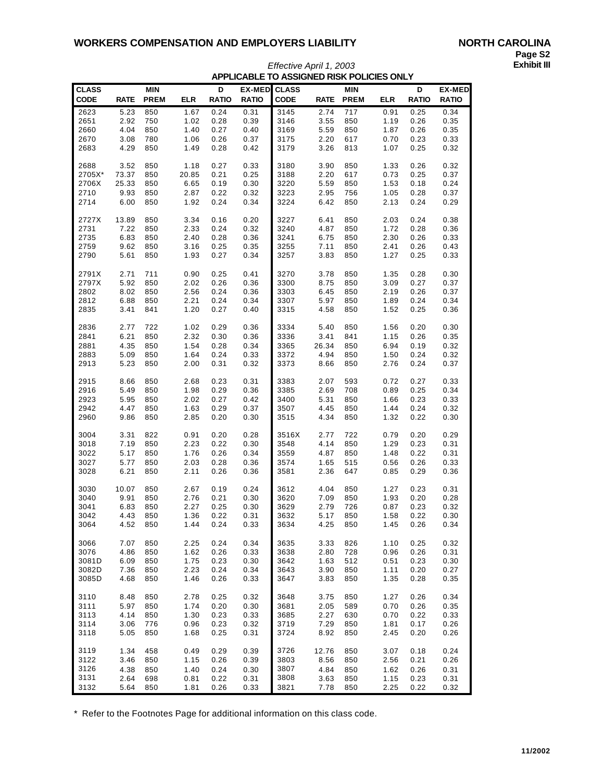| <b>CLASS</b>   |             | <b>MIN</b>  |              | D            | <b>EX-MED</b> | <b>CLASS</b> |              | <b>MIN</b>  |            | D            | <b>EX-MED</b> |
|----------------|-------------|-------------|--------------|--------------|---------------|--------------|--------------|-------------|------------|--------------|---------------|
| <b>CODE</b>    | <b>RATE</b> | <b>PREM</b> | <b>ELR</b>   | <b>RATIO</b> | <b>RATIO</b>  | <b>CODE</b>  | <b>RATE</b>  | <b>PREM</b> | <b>ELR</b> | <b>RATIO</b> | <b>RATIO</b>  |
|                |             |             |              |              |               |              |              |             |            |              |               |
| 2623           | 5.23        | 850         | 1.67         | 0.24         | 0.31          | 3145         | 2.74         | 717         | 0.91       | 0.25         | 0.34          |
| 2651           | 2.92        | 750         | 1.02         | 0.28         | 0.39          | 3146         | 3.55         | 850         | 1.19       | 0.26         | 0.35          |
| 2660           | 4.04        | 850         | 1.40         | 0.27         | 0.40          | 3169         | 5.59         | 850         | 1.87       | 0.26         | 0.35          |
| 2670           | 3.08        | 780         | 1.06         | 0.26         | 0.37          | 3175         | 2.20         | 617         | 0.70       | 0.23         | 0.33          |
| 2683           | 4.29        | 850         | 1.49         | 0.28         | 0.42          | 3179         | 3.26         | 813         | 1.07       | 0.25         | 0.32          |
|                |             |             |              |              |               |              |              |             |            |              |               |
| 2688           | 3.52        | 850         | 1.18         | 0.27         | 0.33          | 3180         | 3.90         | 850         | 1.33       | 0.26         | 0.32          |
| 2705X*         | 73.37       | 850         | 20.85        | 0.21         | 0.25          | 3188         | 2.20         | 617         | 0.73       | 0.25         | 0.37          |
| 2706X          | 25.33       | 850         | 6.65         | 0.19         | 0.30          | 3220         | 5.59         | 850         | 1.53       | 0.18         | 0.24          |
| 2710           | 9.93        | 850         | 2.87         | 0.22         | 0.32          | 3223         | 2.95         | 756         | 1.05       | 0.28         | 0.37          |
| 2714           | 6.00        | 850         | 1.92         | 0.24         | 0.34          | 3224         | 6.42         | 850         | 2.13       | 0.24         | 0.29          |
|                |             |             |              |              |               |              |              |             |            |              |               |
| 2727X          | 13.89       | 850         | 3.34         | 0.16         | 0.20<br>0.32  | 3227         | 6.41<br>4.87 | 850         | 2.03       | 0.24         | 0.38          |
| 2731           | 7.22        | 850         | 2.33         | 0.24         | 0.36          | 3240         |              | 850         | 1.72       | 0.28         | 0.36          |
| 2735           | 6.83        | 850         | 2.40         | 0.28         |               | 3241         | 6.75         | 850         | 2.30       | 0.26         | 0.33          |
| 2759           | 9.62        | 850         | 3.16         | 0.25         | 0.35          | 3255         | 7.11         | 850         | 2.41       | 0.26         | 0.43          |
| 2790           | 5.61        | 850         | 1.93         | 0.27         | 0.34          | 3257         | 3.83         | 850         | 1.27       | 0.25         | 0.33          |
| 2791X          | 2.71        | 711         | 0.90         | 0.25         | 0.41          | 3270         | 3.78         | 850         | 1.35       | 0.28         | 0.30          |
| 2797X          | 5.92        | 850         | 2.02         | 0.26         | 0.36          | 3300         | 8.75         | 850         | 3.09       | 0.27         | 0.37          |
| 2802           | 8.02        | 850         | 2.56         | 0.24         | 0.36          | 3303         | 6.45         | 850         | 2.19       | 0.26         | 0.37          |
| 2812           | 6.88        | 850         | 2.21         | 0.24         | 0.34          | 3307         | 5.97         | 850         | 1.89       | 0.24         | 0.34          |
| 2835           | 3.41        | 841         | 1.20         | 0.27         | 0.40          | 3315         | 4.58         | 850         | 1.52       | 0.25         | 0.36          |
|                |             |             |              |              |               |              |              |             |            |              |               |
| 2836           | 2.77        | 722         | 1.02         | 0.29         | 0.36          | 3334         | 5.40         | 850         | 1.56       | 0.20         | 0.30          |
| 2841           | 6.21        | 850         | 2.32         | 0.30         | 0.36          | 3336         | 3.41         | 841         | 1.15       | 0.26         | 0.35          |
| 2881           | 4.35        | 850         | 1.54         | 0.28         | 0.34          | 3365         | 26.34        | 850         | 6.94       | 0.19         | 0.32          |
| 2883           | 5.09        | 850         | 1.64         | 0.24         | 0.33          | 3372         | 4.94         | 850         | 1.50       | 0.24         | 0.32          |
| 2913           | 5.23        | 850         | 2.00         | 0.31         | 0.32          | 3373         | 8.66         | 850         | 2.76       | 0.24         | 0.37          |
|                |             |             |              |              |               |              |              |             |            |              |               |
| 2915           | 8.66        | 850         | 2.68         | 0.23         | 0.31          | 3383         | 2.07         | 593         | 0.72       | 0.27         | 0.33          |
| 2916           | 5.49        | 850         | 1.98         | 0.29         | 0.36          | 3385         | 2.69         | 708         | 0.89       | 0.25         | 0.34          |
| 2923           | 5.95        | 850         | 2.02         | 0.27         | 0.42          | 3400         | 5.31         | 850         | 1.66       | 0.23         | 0.33          |
| 2942           | 4.47        | 850         | 1.63         | 0.29         | 0.37          | 3507         | 4.45         | 850         | 1.44       | 0.24         | 0.32          |
| 2960           | 9.86        | 850         | 2.85         | 0.20         | 0.30          | 3515         | 4.34         | 850         | 1.32       | 0.22         | 0.30          |
|                |             |             |              |              |               |              |              |             |            |              |               |
| 3004           | 3.31        | 822         | 0.91         | 0.20         | 0.28          | 3516X        | 2.77         | 722         | 0.79       | 0.20         | 0.29          |
| 3018           | 7.19        | 850         | 2.23         | 0.22         | 0.30          | 3548         | 4.14         | 850         | 1.29       | 0.23         | 0.31          |
| 3022           | 5.17        | 850         | 1.76         | 0.26         | 0.34          | 3559         | 4.87         | 850         | 1.48       | 0.22         | 0.31          |
| 3027           | 5.77        | 850         | 2.03         | 0.28         | 0.36          | 3574         | 1.65         | 515         | 0.56       | 0.26         | 0.33          |
| 3028           | 6.21        | 850         | 2.11         | 0.26         | 0.36          | 3581         | 2.36         | 647         | 0.85       | 0.29         | 0.36          |
|                |             |             |              |              |               |              |              |             |            |              |               |
| 3030           | 10.07       | 850         | 2.67         | 0.19         | 0.24          | 3612         | 4.04         | 850         | 1.27       | 0.23         | 0.31          |
| 3040           | 9.91        | 850         | 2.76         | 0.21         | 0.30          | 3620         | 7.09         | 850         | 1.93       | 0.20         | 0.28          |
| 3041           | 6.83        | 850         | 2.27         | 0.25         | 0.30          | 3629         | 2.79         | 726         | 0.87       | 0.23         | 0.32          |
| 3042           | 4.43        | 850         | 1.36         | 0.22         | 0.31          | 3632         | 5.17         | 850         | 1.58       | 0.22         | 0.30          |
| 3064           | 4.52        | 850         | 1.44         | 0.24         | 0.33          | 3634         | 4.25         | 850         | 1.45       | 0.26         | 0.34          |
| 3066           | 7.07        | 850         | 2.25         | 0.24         | 0.34          | 3635         | 3.33         | 826         | 1.10       | 0.25         | 0.32          |
| 3076           | 4.86        |             |              |              |               | 3638         |              | 728         | 0.96       |              |               |
|                | 6.09        | 850         | 1.62         | 0.26         | 0.33          | 3642         | 2.80<br>1.63 | 512         | 0.51       | 0.26<br>0.23 | 0.31          |
| 3081D<br>3082D | 7.36        | 850<br>850  | 1.75<br>2.23 | 0.23<br>0.24 | 0.30<br>0.34  | 3643         | 3.90         | 850         | 1.11       | 0.20         | 0.30<br>0.27  |
| 3085D          | 4.68        | 850         | 1.46         | 0.26         | 0.33          | 3647         | 3.83         | 850         | 1.35       | 0.28         |               |
|                |             |             |              |              |               |              |              |             |            |              | 0.35          |
| 3110           | 8.48        | 850         | 2.78         | 0.25         | 0.32          | 3648         | 3.75         | 850         | 1.27       | 0.26         | 0.34          |
| 3111           | 5.97        | 850         | 1.74         | 0.20         | 0.30          | 3681         | 2.05         | 589         | 0.70       | 0.26         | 0.35          |
| 3113           | 4.14        | 850         | 1.30         | 0.23         | 0.33          | 3685         | 2.27         | 630         | 0.70       | 0.22         | 0.33          |
| 3114           | 3.06        | 776         | 0.96         | 0.23         | 0.32          | 3719         | 7.29         | 850         | 1.81       | 0.17         | 0.26          |
| 3118           | 5.05        | 850         | 1.68         | 0.25         | 0.31          | 3724         | 8.92         | 850         | 2.45       | 0.20         | 0.26          |
|                |             |             |              |              |               |              |              |             |            |              |               |
| 3119           | 1.34        | 458         | 0.49         | 0.29         | 0.39          | 3726         | 12.76        | 850         | 3.07       | 0.18         | 0.24          |
| 3122           | 3.46        | 850         | 1.15         | 0.26         | 0.39          | 3803         | 8.56         | 850         | 2.56       | 0.21         | 0.26          |
| 3126           | 4.38        | 850         | 1.40         | 0.24         | 0.30          | 3807         | 4.84         | 850         | 1.62       | 0.26         | 0.31          |
| 3131           | 2.64        | 698         | 0.81         | 0.22         | 0.31          | 3808         | 3.63         | 850         | 1.15       | 0.23         | 0.31          |
| 3132           | 5.64        | 850         | 1.81         | 0.26         | 0.33          | 3821         | 7.78         | 850         | 2.25       | 0.22         | 0.32          |
|                |             |             |              |              |               |              |              |             |            |              |               |

## *Effective April 1, 2003* **Exhibit III APPLICABLE TO ASSIGNED RISK POLICIES ONLY**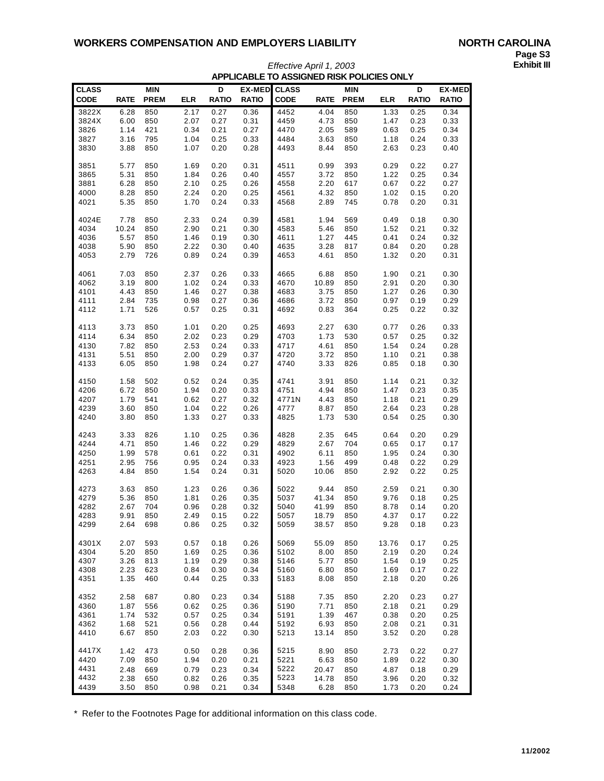| <b>CLASS</b>  |             | <b>MIN</b>  |            | D            | <b>EX-MED</b> | <b>CLASS</b> |              | <b>MIN</b>  |              | D            | <b>EX-MED</b> |
|---------------|-------------|-------------|------------|--------------|---------------|--------------|--------------|-------------|--------------|--------------|---------------|
| CODE          | <b>RATE</b> | <b>PREM</b> | <b>ELR</b> | <b>RATIO</b> | <b>RATIO</b>  | <b>CODE</b>  | <b>RATE</b>  | <b>PREM</b> | <b>ELR</b>   | <b>RATIO</b> | <b>RATIO</b>  |
|               |             |             |            |              |               |              |              |             |              |              |               |
| 3822X         | 6.28        | 850         | 2.17       | 0.27         | 0.36          | 4452         | 4.04         | 850         | 1.33         | 0.25         | 0.34          |
| 3824X<br>3826 | 6.00        | 850<br>421  | 2.07       | 0.27         | 0.31<br>0.27  | 4459<br>4470 | 4.73<br>2.05 | 850<br>589  | 1.47<br>0.63 | 0.23<br>0.25 | 0.33<br>0.34  |
|               | 1.14        |             | 0.34       | 0.21         |               |              |              |             |              |              |               |
| 3827          | 3.16        | 795         | 1.04       | 0.25         | 0.33          | 4484         | 3.63         | 850         | 1.18         | 0.24         | 0.33          |
| 3830          | 3.88        | 850         | 1.07       | 0.20         | 0.28          | 4493         | 8.44         | 850         | 2.63         | 0.23         | 0.40          |
| 3851          | 5.77        | 850         | 1.69       | 0.20         | 0.31          | 4511         | 0.99         | 393         | 0.29         | 0.22         | 0.27          |
| 3865          | 5.31        | 850         | 1.84       | 0.26         | 0.40          | 4557         | 3.72         | 850         | 1.22         | 0.25         | 0.34          |
| 3881          | 6.28        | 850         | 2.10       | 0.25         | 0.26          | 4558         | 2.20         | 617         | 0.67         | 0.22         | 0.27          |
| 4000          | 8.28        | 850         | 2.24       | 0.20         | 0.25          | 4561         | 4.32         | 850         | 1.02         | 0.15         | 0.20          |
| 4021          | 5.35        | 850         | 1.70       | 0.24         | 0.33          | 4568         | 2.89         | 745         | 0.78         | 0.20         | 0.31          |
|               |             |             |            |              |               |              |              |             |              |              |               |
| 4024E         | 7.78        | 850         | 2.33       | 0.24         | 0.39          | 4581         | 1.94         | 569         | 0.49         | 0.18         | 0.30          |
| 4034          | 10.24       | 850         | 2.90       | 0.21         | 0.30          | 4583         | 5.46         | 850         | 1.52         | 0.21         | 0.32          |
| 4036          | 5.57        | 850         | 1.46       | 0.19         | 0.30          | 4611         | 1.27         | 445         | 0.41         | 0.24         | 0.32          |
| 4038          | 5.90        | 850         | 2.22       | 0.30         | 0.40          | 4635         | 3.28         | 817         | 0.84         | 0.20         | 0.28          |
| 4053          | 2.79        | 726         | 0.89       | 0.24         | 0.39          | 4653         | 4.61         | 850         | 1.32         | 0.20         | 0.31          |
|               |             |             |            |              |               |              |              |             |              |              |               |
| 4061          | 7.03        | 850         | 2.37       | 0.26         | 0.33          | 4665         | 6.88         | 850         | 1.90         | 0.21         | 0.30          |
| 4062          | 3.19        | 800         | 1.02       | 0.24         | 0.33          | 4670         | 10.89        | 850         | 2.91         | 0.20         | 0.30          |
| 4101          | 4.43        | 850         | 1.46       | 0.27         | 0.38          | 4683         | 3.75         | 850         | 1.27         | 0.26         | 0.30          |
| 4111          | 2.84        | 735         | 0.98       | 0.27         | 0.36          | 4686         | 3.72         | 850         | 0.97         | 0.19         | 0.29          |
| 4112          | 1.71        | 526         | 0.57       | 0.25         | 0.31          | 4692         | 0.83         | 364         | 0.25         | 0.22         | 0.32          |
|               |             |             |            |              |               |              |              |             |              |              |               |
| 4113          | 3.73        | 850         | 1.01       | 0.20         | 0.25          | 4693         | 2.27         | 630         | 0.77         | 0.26         | 0.33          |
| 4114          | 6.34        | 850         | 2.02       | 0.23         | 0.29          | 4703         | 1.73         | 530         | 0.57         | 0.25         | 0.32          |
| 4130          | 7.82        | 850         | 2.53       | 0.24         | 0.33          | 4717         | 4.61         | 850         | 1.54         | 0.24         | 0.28          |
| 4131          | 5.51        | 850         | 2.00       | 0.29         | 0.37          | 4720         | 3.72<br>3.33 | 850         | 1.10         | 0.21         | 0.38          |
| 4133          | 6.05        | 850         | 1.98       | 0.24         | 0.27          | 4740         |              | 826         | 0.85         | 0.18         | 0.30          |
| 4150          | 1.58        | 502         | 0.52       | 0.24         | 0.35          | 4741         | 3.91         | 850         | 1.14         | 0.21         | 0.32          |
| 4206          | 6.72        | 850         | 1.94       | 0.20         | 0.33          | 4751         | 4.94         | 850         | 1.47         | 0.23         | 0.35          |
| 4207          | 1.79        | 541         | 0.62       | 0.27         | 0.32          | 4771N        | 4.43         | 850         | 1.18         | 0.21         | 0.29          |
| 4239          | 3.60        | 850         | 1.04       | 0.22         | 0.26          | 4777         | 8.87         | 850         | 2.64         | 0.23         | 0.28          |
| 4240          | 3.80        | 850         | 1.33       | 0.27         | 0.33          | 4825         | 1.73         | 530         | 0.54         | 0.25         | 0.30          |
|               |             |             |            |              |               |              |              |             |              |              |               |
| 4243          | 3.33        | 826         | 1.10       | 0.25         | 0.36          | 4828         | 2.35         | 645         | 0.64         | 0.20         | 0.29          |
| 4244          | 4.71        | 850         | 1.46       | 0.22         | 0.29          | 4829         | 2.67         | 704         | 0.65         | 0.17         | 0.17          |
| 4250          | 1.99        | 578         | 0.61       | 0.22         | 0.31          | 4902         | 6.11         | 850         | 1.95         | 0.24         | 0.30          |
| 4251          | 2.95        | 756         | 0.95       | 0.24         | 0.33          | 4923         | 1.56         | 499         | 0.48         | 0.22         | 0.29          |
| 4263          | 4.84        | 850         | 1.54       | 0.24         | 0.31          | 5020         | 10.06        | 850         | 2.92         | 0.22         | 0.25          |
|               |             |             |            |              |               |              |              |             |              |              |               |
| 4273          | 3.63        | 850         | 1.23       | 0.26         | 0.36          | 5022         | 9.44         | 850         | 2.59         | 0.21         | 0.30          |
| 4279          | 5.36        | 850         | 1.81       | 0.26         | 0.35          | 5037         | 41.34        | 850         | 9.76         | 0.18         | 0.25          |
| 4282          | 2.67        | 704         | 0.96       | 0.28         | 0.32          | 5040         | 41.99        | 850         | 8.78         | 0.14         | 0.20          |
| 4283          | 9.91        | 850         | 2.49       | 0.15         | 0.22          | 5057         | 18.79        | 850         | 4.37         | 0.17         | 0.22          |
| 4299          | 2.64        | 698         | 0.86       | 0.25         | 0.32          | 5059         | 38.57        | 850         | 9.28         | 0.18         | 0.23          |
| 4301X         | 2.07        | 593         | 0.57       | 0.18         | 0.26          | 5069         | 55.09        | 850         | 13.76        | 0.17         | 0.25          |
| 4304          | 5.20        | 850         | 1.69       | 0.25         | 0.36          | 5102         | 8.00         | 850         | 2.19         | 0.20         | 0.24          |
| 4307          | 3.26        | 813         | 1.19       | 0.29         | 0.38          | 5146         | 5.77         | 850         | 1.54         | 0.19         | 0.25          |
| 4308          | 2.23        | 623         | 0.84       | 0.30         | 0.34          | 5160         | 6.80         | 850         | 1.69         | 0.17         | 0.22          |
| 4351          | 1.35        | 460         | 0.44       | 0.25         | 0.33          | 5183         | 8.08         | 850         | 2.18         | 0.20         | 0.26          |
|               |             |             |            |              |               |              |              |             |              |              |               |
| 4352          | 2.58        | 687         | 0.80       | 0.23         | 0.34          | 5188         | 7.35         | 850         | 2.20         | 0.23         | 0.27          |
| 4360          | 1.87        | 556         | 0.62       | 0.25         | 0.36          | 5190         | 7.71         | 850         | 2.18         | 0.21         | 0.29          |
| 4361          | 1.74        | 532         | 0.57       | 0.25         | 0.34          | 5191         | 1.39         | 467         | 0.38         | 0.20         | 0.25          |
| 4362          | 1.68        | 521         | 0.56       | 0.28         | 0.44          | 5192         | 6.93         | 850         | 2.08         | 0.21         | 0.31          |
| 4410          | 6.67        | 850         | 2.03       | 0.22         | 0.30          | 5213         | 13.14        | 850         | 3.52         | 0.20         | 0.28          |
|               |             |             |            |              |               |              |              |             |              |              |               |
| 4417X         | 1.42        | 473         | 0.50       | 0.28         | 0.36          | 5215         | 8.90         | 850         | 2.73         | 0.22         | 0.27          |
| 4420          | 7.09        | 850         | 1.94       | 0.20         | 0.21          | 5221         | 6.63         | 850         | 1.89         | 0.22         | 0.30          |
| 4431          | 2.48        | 669         | 0.79       | 0.23         | 0.34          | 5222         | 20.47        | 850         | 4.87         | 0.18         | 0.29          |
| 4432          | 2.38        | 650         | 0.82       | 0.26         | 0.35          | 5223         | 14.78        | 850         | 3.96         | 0.20         | 0.32          |
| 4439          | 3.50        | 850         | 0.98       | 0.21         | 0.34          | 5348         | 6.28         | 850         | 1.73         | 0.20         | 0.24          |

## *Effective April 1, 2003* **Exhibit III APPLICABLE TO ASSIGNED RISK POLICIES ONLY**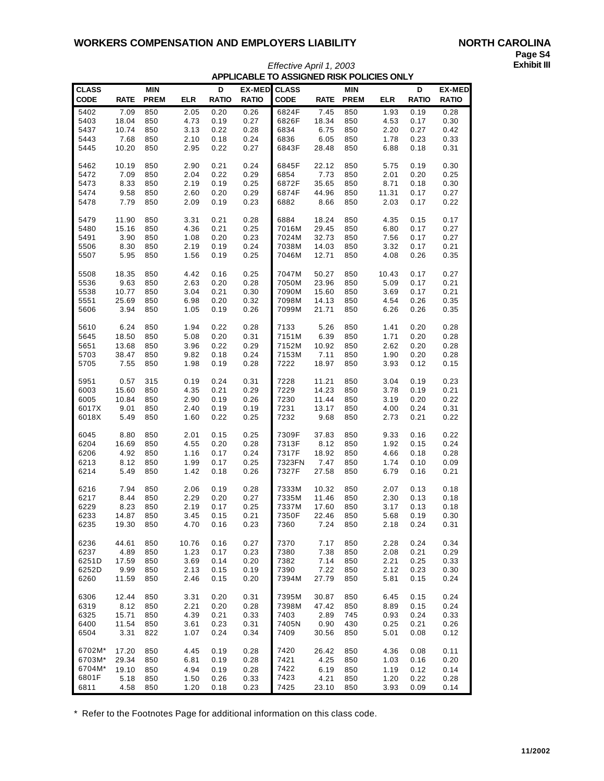| <b>CLASS</b> |             | <b>MIN</b>  |            | D            | <b>EX-MED</b> | <b>CLASS</b> |             | <b>MIN</b>  |            | D            | <b>EX-MED</b> |
|--------------|-------------|-------------|------------|--------------|---------------|--------------|-------------|-------------|------------|--------------|---------------|
| CODE         | <b>RATE</b> | <b>PREM</b> | <b>ELR</b> | <b>RATIO</b> | <b>RATIO</b>  | <b>CODE</b>  | <b>RATE</b> | <b>PREM</b> | <b>ELR</b> | <b>RATIO</b> | <b>RATIO</b>  |
| 5402         | 7.09        | 850         | 2.05       | 0.20         | 0.26          | 6824F        | 7.45        | 850         | 1.93       | 0.19         | 0.28          |
| 5403         | 18.04       | 850         | 4.73       | 0.19         | 0.27          | 6826F        | 18.34       | 850         | 4.53       | 0.17         | 0.30          |
| 5437         | 10.74       | 850         | 3.13       | 0.22         | 0.28          | 6834         | 6.75        | 850         | 2.20       | 0.27         | 0.42          |
| 5443         | 7.68        | 850         | 2.10       | 0.18         | 0.24          | 6836         | 6.05        | 850         | 1.78       | 0.23         | 0.33          |
| 5445         | 10.20       | 850         | 2.95       | 0.22         | 0.27          | 6843F        | 28.48       | 850         | 6.88       | 0.18         | 0.31          |
| 5462         | 10.19       | 850         | 2.90       | 0.21         | 0.24          | 6845F        | 22.12       | 850         | 5.75       | 0.19         | 0.30          |
| 5472         | 7.09        | 850         | 2.04       | 0.22         | 0.29          | 6854         | 7.73        | 850         | 2.01       | 0.20         | 0.25          |
| 5473         | 8.33        | 850         | 2.19       | 0.19         | 0.25          | 6872F        | 35.65       | 850         | 8.71       | 0.18         | 0.30          |
| 5474         | 9.58        | 850         | 2.60       | 0.20         | 0.29          | 6874F        | 44.96       | 850         | 11.31      | 0.17         | 0.27          |
| 5478         | 7.79        | 850         | 2.09       | 0.19         | 0.23          | 6882         | 8.66        | 850         | 2.03       | 0.17         | 0.22          |
| 5479         | 11.90       | 850         | 3.31       | 0.21         | 0.28          | 6884         | 18.24       | 850         | 4.35       | 0.15         | 0.17          |
| 5480         | 15.16       | 850         | 4.36       | 0.21         | 0.25          | 7016M        | 29.45       | 850         | 6.80       | 0.17         | 0.27          |
| 5491         | 3.90        | 850         | 1.08       | 0.20         | 0.23          | 7024M        | 32.73       | 850         | 7.56       | 0.17         | 0.27          |
| 5506         | 8.30        | 850         | 2.19       | 0.19         | 0.24          | 7038M        | 14.03       | 850         | 3.32       | 0.17         | 0.21          |
| 5507         | 5.95        | 850         | 1.56       | 0.19         | 0.25          | 7046M        | 12.71       | 850         | 4.08       | 0.26         | 0.35          |
| 5508         | 18.35       | 850         | 4.42       | 0.16         | 0.25          | 7047M        | 50.27       | 850         | 10.43      | 0.17         | 0.27          |
| 5536         | 9.63        | 850         | 2.63       | 0.20         | 0.28          | 7050M        | 23.96       | 850         | 5.09       | 0.17         | 0.21          |
| 5538         | 10.77       | 850         | 3.04       | 0.21         | 0.30          | 7090M        | 15.60       | 850         | 3.69       | 0.17         | 0.21          |
| 5551         | 25.69       | 850         | 6.98       | 0.20         | 0.32          | 7098M        | 14.13       | 850         | 4.54       | 0.26         | 0.35          |
| 5606         | 3.94        | 850         | 1.05       | 0.19         | 0.26          | 7099M        | 21.71       | 850         | 6.26       | 0.26         | 0.35          |
| 5610         | 6.24        | 850         | 1.94       | 0.22         | 0.28          | 7133         | 5.26        | 850         | 1.41       | 0.20         | 0.28          |
| 5645         | 18.50       | 850         | 5.08       | 0.20         | 0.31          | 7151M        | 6.39        | 850         | 1.71       | 0.20         | 0.28          |
| 5651         | 13.68       | 850         | 3.96       | 0.22         | 0.29          | 7152M        | 10.92       | 850         | 2.62       | 0.20         | 0.28          |
| 5703         | 38.47       | 850         | 9.82       | 0.18         | 0.24          | 7153M        | 7.11        | 850         | 1.90       | 0.20         | 0.28          |
| 5705         | 7.55        | 850         | 1.98       | 0.19         | 0.28          | 7222         | 18.97       | 850         | 3.93       | 0.12         | 0.15          |
| 5951         | 0.57        | 315         | 0.19       | 0.24         | 0.31          | 7228         | 11.21       | 850         | 3.04       | 0.19         | 0.23          |
| 6003         | 15.60       | 850         | 4.35       | 0.21         | 0.29          | 7229         | 14.23       | 850         | 3.78       | 0.19         | 0.21          |
| 6005         | 10.84       | 850         | 2.90       | 0.19         | 0.26          | 7230         | 11.44       | 850         | 3.19       | 0.20         | 0.22          |
| 6017X        | 9.01        | 850         | 2.40       | 0.19         | 0.19          | 7231         | 13.17       | 850         | 4.00       | 0.24         | 0.31          |
| 6018X        | 5.49        | 850         | 1.60       | 0.22         | 0.25          | 7232         | 9.68        | 850         | 2.73       | 0.21         | 0.22          |
| 6045         | 8.80        | 850         | 2.01       | 0.15         | 0.25          | 7309F        | 37.83       | 850         | 9.33       | 0.16         | 0.22          |
| 6204         | 16.69       | 850         | 4.55       | 0.20         | 0.28          | 7313F        | 8.12        | 850         | 1.92       | 0.15         | 0.24          |
| 6206         | 4.92        | 850         | 1.16       | 0.17         | 0.24          | 7317F        | 18.92       | 850         | 4.66       | 0.18         | 0.28          |
| 6213         | 8.12        | 850         | 1.99       | 0.17         | 0.25          | 7323FN       | 7.47        | 850         | 1.74       | 0.10         | 0.09          |
| 6214         | 5.49        | 850         | 1.42       | 0.18         | 0.26          | 7327F        | 27.58       | 850         | 6.79       | 0.16         | 0.21          |
| 6216         | 7.94        | 850         | 2.06       | 0.19         | 0.28          | 7333M        | 10.32       | 850         | 2.07       | 0.13         | 0.18          |
| 6217         | 8.44        | 850         | 2.29       | 0.20         | 0.27          | 7335M        | 11.46       | 850         | 2.30       | 0.13         | 0.18          |
| 6229         | 8.23        | 850         | 2.19       | 0.17         | 0.25          | 7337M        | 17.60       | 850         | 3.17       | 0.13         | 0.18          |
| 6233         | 14.87       | 850         | 3.45       | 0.15         | 0.21          | 7350F        | 22.46       | 850         | 5.68       | 0.19         | 0.30          |
| 6235         | 19.30       | 850         | 4.70       | 0.16         | 0.23          | 7360         | 7.24        | 850         | 2.18       | 0.24         | 0.31          |
| 6236         | 44.61       | 850         | 10.76      | 0.16         | 0.27          | 7370         | 7.17        | 850         | 2.28       | 0.24         | 0.34          |
| 6237         | 4.89        | 850         | 1.23       | 0.17         | 0.23          | 7380         | 7.38        | 850         | 2.08       | 0.21         | 0.29          |
| 6251D        | 17.59       | 850         | 3.69       | 0.14         | 0.20          | 7382         | 7.14        | 850         | 2.21       | 0.25         | 0.33          |
| 6252D        | 9.99        | 850         | 2.13       | 0.15         | 0.19          | 7390         | 7.22        | 850         | 2.12       | 0.23         | 0.30          |
| 6260         | 11.59       | 850         | 2.46       | 0.15         | 0.20          | 7394M        | 27.79       | 850         | 5.81       | 0.15         | 0.24          |
| 6306         | 12.44       | 850         | 3.31       | 0.20         | 0.31          | 7395M        | 30.87       | 850         | 6.45       | 0.15         | 0.24          |
| 6319         | 8.12        | 850         | 2.21       | 0.20         | 0.28          | 7398M        | 47.42       | 850         | 8.89       | 0.15         | 0.24          |
| 6325         | 15.71       | 850         | 4.39       | 0.21         | 0.33          | 7403         | 2.89        | 745         | 0.93       | 0.24         | 0.33          |
| 6400         | 11.54       | 850         | 3.61       | 0.23         | 0.31          | 7405N        | 0.90        | 430         | 0.25       | 0.21         | 0.26          |
| 6504         | 3.31        | 822         | 1.07       | 0.24         | 0.34          | 7409         | 30.56       | 850         | 5.01       | 0.08         | 0.12          |
| 6702M*       | 17.20       | 850         | 4.45       | 0.19         | 0.28          | 7420         | 26.42       | 850         | 4.36       | 0.08         | 0.11          |
| 6703M*       | 29.34       | 850         | 6.81       | 0.19         | 0.28          | 7421         | 4.25        | 850         | 1.03       | 0.16         | 0.20          |
| 6704M*       | 19.10       | 850         | 4.94       | 0.19         | 0.28          | 7422         | 6.19        | 850         | 1.19       | 0.12         | 0.14          |
| 6801F        | 5.18        | 850         | 1.50       | 0.26         | 0.33          | 7423         | 4.21        | 850         | 1.20       | 0.22         | 0.28          |
| 6811         | 4.58        | 850         | 1.20       | 0.18         | 0.23          | 7425         | 23.10       | 850         | 3.93       | 0.09         | 0.14          |

## *Effective April 1, 2003* **APPLICABLE TO ASSIGNED RISK POLICIES ONLY**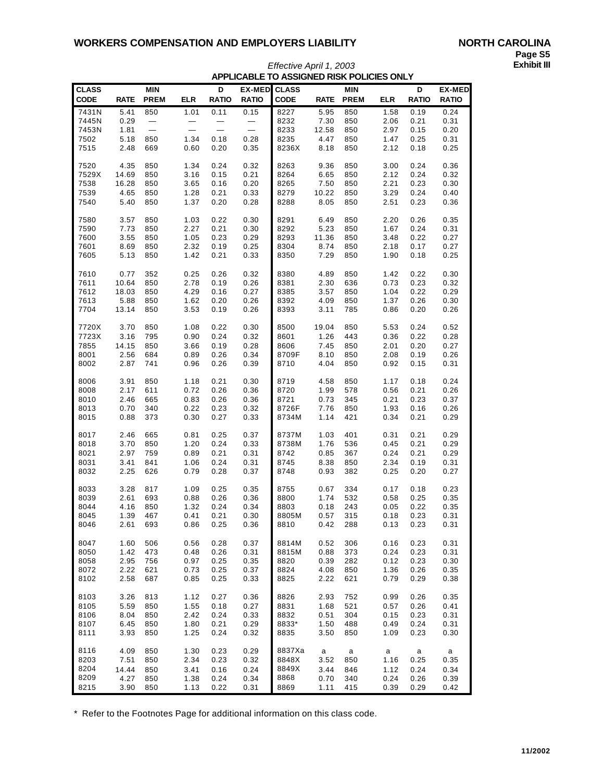| <b>CLASS</b> |             | <b>MIN</b>  |              | D            | <b>EX-MED</b>            | <b>CLASS</b> |             | <b>MIN</b>  |            | D            | <b>EX-MED</b> |
|--------------|-------------|-------------|--------------|--------------|--------------------------|--------------|-------------|-------------|------------|--------------|---------------|
| <b>CODE</b>  | <b>RATE</b> | <b>PREM</b> | <b>ELR</b>   | <b>RATIO</b> | <b>RATIO</b>             | <b>CODE</b>  | <b>RATE</b> | <b>PREM</b> | <b>ELR</b> | <b>RATIO</b> | <b>RATIO</b>  |
| 7431N        | 5.41        | 850         | 1.01         | 0.11         | 0.15                     | 8227         | 5.95        | 850         | 1.58       | 0.19         | 0.24          |
| 7445N        | 0.29        |             |              |              |                          | 8232         | 7.30        | 850         | 2.06       | 0.21         | 0.31          |
| 7453N        | 1.81        |             |              |              | $\overline{\phantom{0}}$ | 8233         | 12.58       | 850         | 2.97       | 0.15         | 0.20          |
| 7502         | 5.18        | 850         | 1.34         | 0.18         | 0.28                     | 8235         | 4.47        | 850         | 1.47       | 0.25         | 0.31          |
| 7515         | 2.48        | 669         | 0.60         | 0.20         | 0.35                     | 8236X        | 8.18        | 850         | 2.12       | 0.18         | 0.25          |
|              |             |             |              |              |                          |              |             |             |            |              |               |
| 7520         | 4.35        | 850         | 1.34         | 0.24         | 0.32                     | 8263         | 9.36        | 850         | 3.00       | 0.24         | 0.36          |
| 7529X        | 14.69       | 850         | 3.16         | 0.15         | 0.21                     | 8264         | 6.65        | 850         | 2.12       | 0.24         | 0.32          |
| 7538         | 16.28       | 850         | 3.65         | 0.16         | 0.20                     | 8265         | 7.50        | 850         | 2.21       | 0.23         | 0.30          |
| 7539         | 4.65        | 850         | 1.28         | 0.21         | 0.33                     | 8279         | 10.22       | 850         | 3.29       | 0.24         | 0.40          |
|              | 5.40        |             | 1.37         | 0.20         | 0.28                     |              | 8.05        |             |            | 0.23         |               |
| 7540         |             | 850         |              |              |                          | 8288         |             | 850         | 2.51       |              | 0.36          |
| 7580         | 3.57        | 850         | 1.03         | 0.22         | 0.30                     | 8291         | 6.49        | 850         | 2.20       | 0.26         | 0.35          |
|              |             |             |              |              | 0.30                     | 8292         | 5.23        | 850         |            | 0.24         |               |
| 7590         | 7.73        | 850         | 2.27         | 0.21         |                          |              |             |             | 1.67       |              | 0.31          |
| 7600         | 3.55        | 850         | 1.05         | 0.23         | 0.29                     | 8293         | 11.36       | 850         | 3.48       | 0.22         | 0.27          |
| 7601         | 8.69        | 850         | 2.32         | 0.19         | 0.25                     | 8304         | 8.74        | 850         | 2.18       | 0.17         | 0.27          |
| 7605         | 5.13        | 850         | 1.42         | 0.21         | 0.33                     | 8350         | 7.29        | 850         | 1.90       | 0.18         | 0.25          |
|              |             |             |              |              |                          |              |             |             |            |              |               |
| 7610         | 0.77        | 352         | 0.25         | 0.26         | 0.32                     | 8380         | 4.89        | 850         | 1.42       | 0.22         | 0.30          |
| 7611         | 10.64       | 850         | 2.78         | 0.19         | 0.26                     | 8381         | 2.30        | 636         | 0.73       | 0.23         | 0.32          |
| 7612         | 18.03       | 850         | 4.29         | 0.16         | 0.27                     | 8385         | 3.57        | 850         | 1.04       | 0.22         | 0.29          |
| 7613         | 5.88        | 850         | 1.62         | 0.20         | 0.26                     | 8392         | 4.09        | 850         | 1.37       | 0.26         | 0.30          |
| 7704         | 13.14       | 850         | 3.53         | 0.19         | 0.26                     | 8393         | 3.11        | 785         | 0.86       | 0.20         | 0.26          |
|              |             |             |              |              |                          |              |             |             |            |              |               |
| 7720X        | 3.70        | 850         | 1.08         | 0.22         | 0.30                     | 8500         | 19.04       | 850         | 5.53       | 0.24         | 0.52          |
| 7723X        | 3.16        | 795         | 0.90         | 0.24         | 0.32                     | 8601         | 1.26        | 443         | 0.36       | 0.22         | 0.28          |
| 7855         | 14.15       | 850         | 3.66         | 0.19         | 0.28                     | 8606         | 7.45        | 850         | 2.01       | 0.20         | 0.27          |
| 8001         | 2.56        | 684         | 0.89         | 0.26         | 0.34                     | 8709F        | 8.10        | 850         | 2.08       | 0.19         | 0.26          |
| 8002         | 2.87        | 741         | 0.96         | 0.26         | 0.39                     | 8710         | 4.04        | 850         | 0.92       | 0.15         | 0.31          |
|              |             |             |              |              |                          |              |             |             |            |              |               |
| 8006         | 3.91        | 850         | 1.18         | 0.21         | 0.30                     | 8719         | 4.58        | 850         | 1.17       | 0.18         | 0.24          |
| 8008         | 2.17        | 611         | 0.72         | 0.26         | 0.36                     | 8720         | 1.99        | 578         | 0.56       | 0.21         | 0.26          |
| 8010         | 2.46        | 665         | 0.83         | 0.26         | 0.36                     | 8721         | 0.73        | 345         | 0.21       | 0.23         | 0.37          |
| 8013         | 0.70        | 340         | 0.22         | 0.23         | 0.32                     | 8726F        | 7.76        | 850         | 1.93       | 0.16         | 0.26          |
| 8015         | 0.88        | 373         | 0.30         | 0.27         | 0.33                     | 8734M        | 1.14        | 421         | 0.34       | 0.21         | 0.29          |
|              |             |             |              |              |                          |              |             |             |            |              |               |
| 8017         | 2.46        | 665         | 0.81         | 0.25         | 0.37                     | 8737M        | 1.03        | 401         | 0.31       | 0.21         | 0.29          |
| 8018         | 3.70        | 850         | 1.20         | 0.24         | 0.33                     | 8738M        | 1.76        | 536         | 0.45       | 0.21         | 0.29          |
| 8021         | 2.97        | 759         | 0.89         | 0.21         | 0.31                     | 8742         | 0.85        | 367         | 0.24       | 0.21         | 0.29          |
| 8031         | 3.41        | 841         | 1.06         | 0.24         | 0.31                     | 8745         | 8.38        | 850         | 2.34       | 0.19         | 0.31          |
| 8032         | 2.25        | 626         | 0.79         | 0.28         | 0.37                     | 8748         | 0.93        | 382         | 0.25       | 0.20         | 0.27          |
|              |             |             |              |              |                          |              |             |             |            |              |               |
| 8033         | 3.28        | 817         | 1.09         | 0.25         | 0.35                     | 8755         | 0.67        | 334         | 0.17       | 0.18         | 0.23          |
| 8039         | 2.61        | 693         | 0.88         | 0.26         | 0.36                     | 8800         | 1.74        | 532         | 0.58       | 0.25         | 0.35          |
| 8044         | 4.16        | 850         | 1.32         | 0.24         | 0.34                     | 8803         | 0.18        | 243         | 0.05       | 0.22         | 0.35          |
| 8045         | 1.39        | 467         | 0.41         | 0.21         | 0.30                     | 8805M        | 0.57        | 315         | 0.18       | 0.23         | 0.31          |
| 8046         | 2.61        | 693         | 0.86         | 0.25         | 0.36                     | 8810         | 0.42        | 288         | 0.13       | 0.23         | 0.31          |
|              |             |             |              |              |                          |              |             |             |            |              |               |
| 8047         | 1.60        | 506         | 0.56         | 0.28         | 0.37                     | 8814M        | 0.52        | 306         | 0.16       | 0.23         | 0.31          |
|              | 1.42        | 473         |              | 0.26         |                          | 8815M        | 0.88        | 373         | 0.24       |              | 0.31          |
| 8050         | 2.95        |             | 0.48<br>0.97 |              | 0.31                     | 8820         | 0.39        |             | 0.12       | 0.23<br>0.23 |               |
| 8058         |             | 756         |              | 0.25         | 0.35                     |              |             | 282         |            |              | 0.30          |
| 8072         | 2.22        | 621         | 0.73         | 0.25         | 0.37                     | 8824         | 4.08        | 850         | 1.36       | 0.26         | 0.35          |
| 8102         | 2.58        | 687         | 0.85         | 0.25         | 0.33                     | 8825         | 2.22        | 621         | 0.79       | 0.29         | 0.38          |
|              |             |             |              |              |                          |              |             |             |            |              |               |
| 8103         | 3.26        | 813         | 1.12         | 0.27         | 0.36                     | 8826         | 2.93        | 752         | 0.99       | 0.26         | 0.35          |
| 8105         | 5.59        | 850         | 1.55         | 0.18         | 0.27                     | 8831         | 1.68        | 521         | 0.57       | 0.26         | 0.41          |
| 8106         | 8.04        | 850         | 2.42         | 0.24         | 0.33                     | 8832         | 0.51        | 304         | 0.15       | 0.23         | 0.31          |
| 8107         | 6.45        | 850         | 1.80         | 0.21         | 0.29                     | 8833*        | 1.50        | 488         | 0.49       | 0.24         | 0.31          |
| 8111         | 3.93        | 850         | 1.25         | 0.24         | 0.32                     | 8835         | 3.50        | 850         | 1.09       | 0.23         | 0.30          |
|              |             |             |              |              |                          |              |             |             |            |              |               |
| 8116         | 4.09        | 850         | 1.30         | 0.23         | 0.29                     | 8837Xa       | a           | a           | a          | $\mathsf{a}$ | a             |
| 8203         | 7.51        | 850         | 2.34         | 0.23         | 0.32                     | 8848X        | 3.52        | 850         | 1.16       | 0.25         | 0.35          |
| 8204         | 14.44       | 850         | 3.41         | 0.16         | 0.24                     | 8849X        | 3.44        | 846         | 1.12       | 0.24         | 0.34          |
| 8209         | 4.27        | 850         | 1.38         | 0.24         | 0.34                     | 8868         | 0.70        | 340         | 0.24       | 0.26         | 0.39          |
| 8215         | 3.90        | 850         | 1.13         | 0.22         | 0.31                     | 8869         | 1.11        | 415         | 0.39       | 0.29         | 0.42          |

## *Effective April 1, 2003* **Exhibit III APPLICABLE TO ASSIGNED RISK POLICIES ONLY**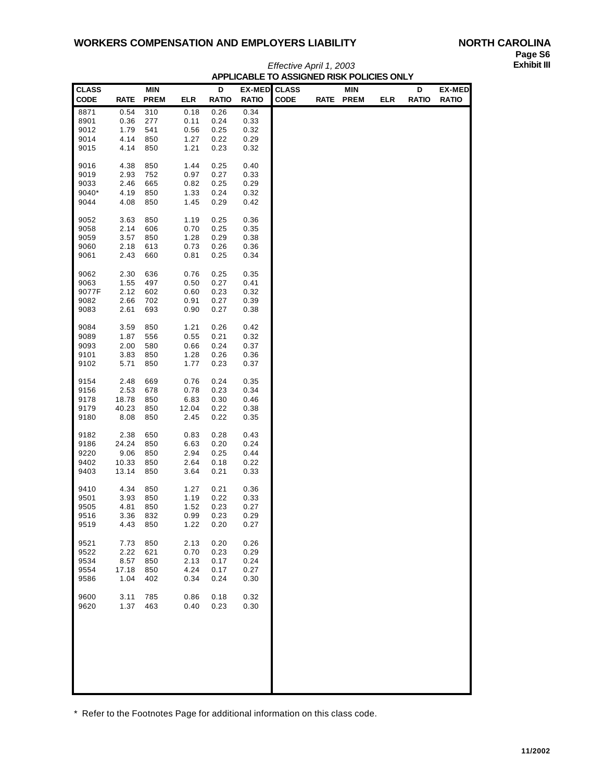| <b>CLASS</b> |              | <b>MIN</b>  |              | D            | <b>EX-MED</b> | <b>CLASS</b> | <b>MIN</b> |            | D            | <b>EX-MED</b> |
|--------------|--------------|-------------|--------------|--------------|---------------|--------------|------------|------------|--------------|---------------|
| <b>CODE</b>  | <b>RATE</b>  | <b>PREM</b> | <b>ELR</b>   | <b>RATIO</b> | <b>RATIO</b>  | <b>CODE</b>  | RATE PREM  | <b>ELR</b> | <b>RATIO</b> | <b>RATIO</b>  |
| 8871         | 0.54         | 310         | 0.18         | 0.26         | 0.34          |              |            |            |              |               |
| 8901<br>9012 | 0.36<br>1.79 | 277<br>541  | 0.11<br>0.56 | 0.24<br>0.25 | 0.33<br>0.32  |              |            |            |              |               |
| 9014         | 4.14         | 850         | 1.27         | 0.22         | 0.29          |              |            |            |              |               |
| 9015         | 4.14         | 850         | 1.21         | 0.23         | 0.32          |              |            |            |              |               |
|              |              |             |              |              |               |              |            |            |              |               |
| 9016         | 4.38         | 850         | 1.44         | 0.25         | 0.40          |              |            |            |              |               |
| 9019         | 2.93         | 752         | 0.97         | 0.27         | 0.33          |              |            |            |              |               |
| 9033         | 2.46         | 665         | 0.82         | 0.25         | 0.29          |              |            |            |              |               |
| 9040*        | 4.19         | 850         | 1.33         | 0.24         | 0.32          |              |            |            |              |               |
| 9044         | 4.08         | 850         | 1.45         | 0.29         | 0.42          |              |            |            |              |               |
| 9052         | 3.63         | 850         | 1.19         | 0.25         | 0.36          |              |            |            |              |               |
| 9058         | 2.14         | 606         | 0.70         | 0.25         | 0.35          |              |            |            |              |               |
| 9059         | 3.57         | 850         | 1.28         | 0.29         | 0.38          |              |            |            |              |               |
| 9060         | 2.18         | 613         | 0.73         | 0.26         | 0.36          |              |            |            |              |               |
| 9061         | 2.43         | 660         | 0.81         | 0.25         | 0.34          |              |            |            |              |               |
| 9062         | 2.30         | 636         | 0.76         | 0.25         | 0.35          |              |            |            |              |               |
| 9063         | 1.55         | 497         | 0.50         | 0.27         | 0.41          |              |            |            |              |               |
| 9077F        | 2.12         | 602         | 0.60         | 0.23         | 0.32          |              |            |            |              |               |
| 9082         | 2.66         | 702         | 0.91         | 0.27         | 0.39          |              |            |            |              |               |
| 9083         | 2.61         | 693         | 0.90         | 0.27         | 0.38          |              |            |            |              |               |
|              |              |             |              |              |               |              |            |            |              |               |
| 9084         | 3.59         | 850         | 1.21         | 0.26         | 0.42          |              |            |            |              |               |
| 9089         | 1.87         | 556         | 0.55         | 0.21         | 0.32          |              |            |            |              |               |
| 9093         | 2.00         | 580         | 0.66         | 0.24         | 0.37          |              |            |            |              |               |
| 9101<br>9102 | 3.83<br>5.71 | 850<br>850  | 1.28<br>1.77 | 0.26<br>0.23 | 0.36<br>0.37  |              |            |            |              |               |
|              |              |             |              |              |               |              |            |            |              |               |
| 9154         | 2.48         | 669         | 0.76         | 0.24         | 0.35          |              |            |            |              |               |
| 9156         | 2.53         | 678         | 0.78         | 0.23         | 0.34          |              |            |            |              |               |
| 9178         | 18.78        | 850         | 6.83         | 0.30         | 0.46          |              |            |            |              |               |
| 9179         | 40.23        | 850         | 12.04        | 0.22         | 0.38          |              |            |            |              |               |
| 9180         | 8.08         | 850         | 2.45         | 0.22         | 0.35          |              |            |            |              |               |
| 9182         | 2.38         | 650         | 0.83         | 0.28         | 0.43          |              |            |            |              |               |
| 9186         | 24.24        | 850         | 6.63         | 0.20         | 0.24          |              |            |            |              |               |
| 9220         | 9.06         | 850         | 2.94         | 0.25         | 0.44          |              |            |            |              |               |
| 9402         | 10.33        | 850         | 2.64         | 0.18         | 0.22          |              |            |            |              |               |
| 9403         | 13.14        | 850         | 3.64         | 0.21         | 0.33          |              |            |            |              |               |
| 9410         | 4.34         | 850         | 1.27         | 0.21         | 0.36          |              |            |            |              |               |
| 9501         | 3.93         | 850         | 1.19         | 0.22         | 0.33          |              |            |            |              |               |
| 9505         | 4.81         | 850         | 1.52         | 0.23         | 0.27          |              |            |            |              |               |
| 9516         | 3.36         | 832         | 0.99         | 0.23         | 0.29          |              |            |            |              |               |
| 9519         | 4.43         | 850         | 1.22         | 0.20         | 0.27          |              |            |            |              |               |
|              |              |             |              |              |               |              |            |            |              |               |
| 9521         | 7.73         | 850         | 2.13         | 0.20         | 0.26<br>0.29  |              |            |            |              |               |
| 9522<br>9534 | 2.22<br>8.57 | 621<br>850  | 0.70<br>2.13 | 0.23<br>0.17 | 0.24          |              |            |            |              |               |
| 9554         | 17.18        | 850         | 4.24         | 0.17         | 0.27          |              |            |            |              |               |
| 9586         | 1.04         | 402         | 0.34         | 0.24         | 0.30          |              |            |            |              |               |
|              |              |             |              |              |               |              |            |            |              |               |
| 9600         | 3.11         | 785         | 0.86         | 0.18         | 0.32          |              |            |            |              |               |
| 9620         | 1.37         | 463         | 0.40         | 0.23         | 0.30          |              |            |            |              |               |
|              |              |             |              |              |               |              |            |            |              |               |
|              |              |             |              |              |               |              |            |            |              |               |
|              |              |             |              |              |               |              |            |            |              |               |
|              |              |             |              |              |               |              |            |            |              |               |
|              |              |             |              |              |               |              |            |            |              |               |
|              |              |             |              |              |               |              |            |            |              |               |
|              |              |             |              |              |               |              |            |            |              |               |

*Effective April 1, 2003* **APPLICABLE TO ASSIGNED RISK POLICIES ONLY**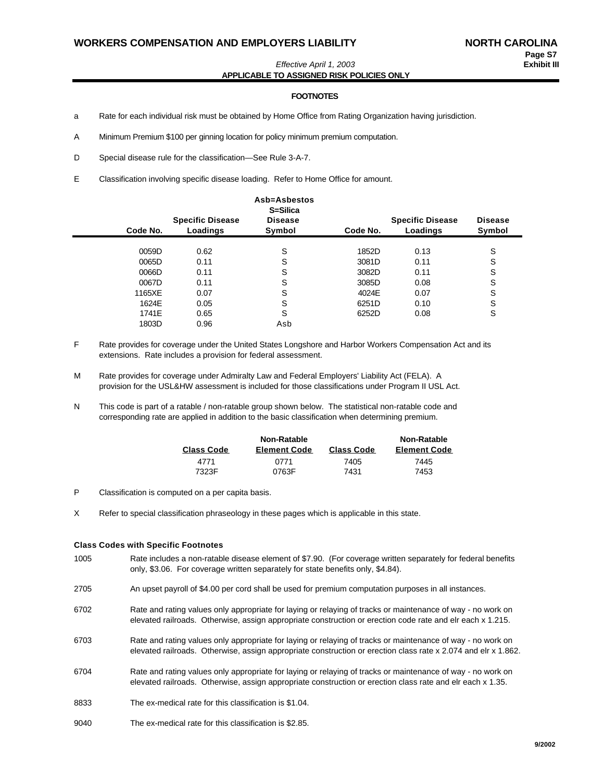*Effective April 1, 2003* **Exhibit III APPLICABLE TO ASSIGNED RISK POLICIES ONLY**

#### **FOOTNOTES**

- a Rate for each individual risk must be obtained by Home Office from Rating Organization having jurisdiction.
- A Minimum Premium \$100 per ginning location for policy minimum premium computation.

D Special disease rule for the classification—See Rule 3-A-7.

E Classification involving specific disease loading. Refer to Home Office for amount.

| Code No. | <b>Specific Disease</b><br>Loadings | Asb=Asbestos<br>S=Silica<br><b>Disease</b><br>Symbol | Code No. | <b>Specific Disease</b><br>Loadings | <b>Disease</b><br>Symbol |
|----------|-------------------------------------|------------------------------------------------------|----------|-------------------------------------|--------------------------|
| 0059D    | 0.62                                | S                                                    | 1852D    | 0.13                                | S                        |
| 0065D    | 0.11                                | S                                                    | 3081D    | 0.11                                | S                        |
| 0066D    | 0.11                                | S                                                    | 3082D    | 0.11                                | S                        |
| 0067D    | 0.11                                | S                                                    | 3085D    | 0.08                                | S                        |
| 1165XE   | 0.07                                | S                                                    | 4024E    | 0.07                                | S                        |
| 1624E    | 0.05                                | S                                                    | 6251D    | 0.10                                | S                        |
| 1741E    | 0.65                                | S                                                    | 6252D    | 0.08                                | S                        |
| 1803D    | 0.96                                | Asb                                                  |          |                                     |                          |

- F Rate provides for coverage under the United States Longshore and Harbor Workers Compensation Act and its extensions. Rate includes a provision for federal assessment.
- M Rate provides for coverage under Admiralty Law and Federal Employers' Liability Act (FELA). A provision for the USL&HW assessment is included for those classifications under Program II USL Act.
- N This code is part of a ratable / non-ratable group shown below. The statistical non-ratable code and corresponding rate are applied in addition to the basic classification when determining premium.

|                   | Non-Ratable         |                   | Non-Ratable         |
|-------------------|---------------------|-------------------|---------------------|
| <b>Class Code</b> | <b>Element Code</b> | <b>Class Code</b> | <b>Element Code</b> |
| 4771              | 0771                | 7405              | 7445                |
| 7323F             | 0763F               | 7431              | 7453                |

- P Classification is computed on a per capita basis.
- X Refer to special classification phraseology in these pages which is applicable in this state.

#### **Class Codes with Specific Footnotes**

- 1005 Rate includes a non-ratable disease element of \$7.90. (For coverage written separately for federal benefits only, \$3.06. For coverage written separately for state benefits only, \$4.84).
- 2705 An upset payroll of \$4.00 per cord shall be used for premium computation purposes in all instances.
- 6702 Rate and rating values only appropriate for laying or relaying of tracks or maintenance of way no work on elevated railroads. Otherwise, assign appropriate construction or erection code rate and elr each x 1.215.
- 6703 Rate and rating values only appropriate for laying or relaying of tracks or maintenance of way no work on elevated railroads. Otherwise, assign appropriate construction or erection class rate x 2.074 and elr x 1.862.
- 6704 Rate and rating values only appropriate for laying or relaying of tracks or maintenance of way no work on elevated railroads. Otherwise, assign appropriate construction or erection class rate and elr each x 1.35.
- 8833 The ex-medical rate for this classification is \$1.04.
- 9040 The ex-medical rate for this classification is \$2.85.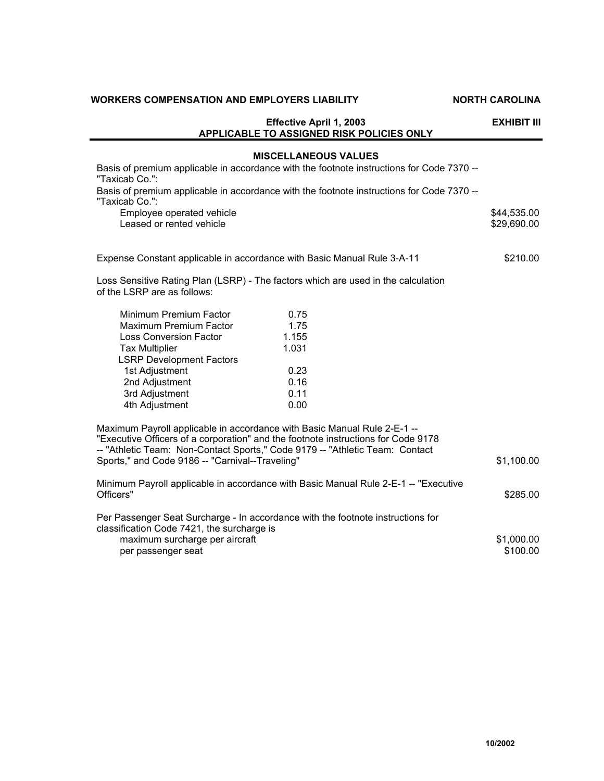|                                                       | <b>Effective April 1, 2003</b><br>APPLICABLE TO ASSIGNED RISK POLICIES ONLY                                                                                                                                                                   | EXHIBIT III                |
|-------------------------------------------------------|-----------------------------------------------------------------------------------------------------------------------------------------------------------------------------------------------------------------------------------------------|----------------------------|
| "Taxicab Co.":                                        | <b>MISCELLANEOUS VALUES</b><br>Basis of premium applicable in accordance with the footnote instructions for Code 7370 --                                                                                                                      |                            |
| "Taxicab Co.":                                        | Basis of premium applicable in accordance with the footnote instructions for Code 7370 --                                                                                                                                                     |                            |
| Employee operated vehicle<br>Leased or rented vehicle |                                                                                                                                                                                                                                               | \$44,535.00<br>\$29,690.00 |
|                                                       | Expense Constant applicable in accordance with Basic Manual Rule 3-A-11                                                                                                                                                                       | \$210.00                   |
| of the LSRP are as follows:                           | Loss Sensitive Rating Plan (LSRP) - The factors which are used in the calculation                                                                                                                                                             |                            |
| Minimum Premium Factor                                | 0.75                                                                                                                                                                                                                                          |                            |
| Maximum Premium Factor                                | 1.75                                                                                                                                                                                                                                          |                            |
| <b>Loss Conversion Factor</b>                         | 1.155                                                                                                                                                                                                                                         |                            |
| <b>Tax Multiplier</b>                                 | 1.031                                                                                                                                                                                                                                         |                            |
| <b>LSRP Development Factors</b>                       | 0.23                                                                                                                                                                                                                                          |                            |
| 1st Adjustment<br>2nd Adjustment                      | 0.16                                                                                                                                                                                                                                          |                            |
| 3rd Adjustment                                        | 0.11                                                                                                                                                                                                                                          |                            |
| 4th Adjustment                                        | 0.00                                                                                                                                                                                                                                          |                            |
|                                                       | Maximum Payroll applicable in accordance with Basic Manual Rule 2-E-1 --<br>"Executive Officers of a corporation" and the footnote instructions for Code 9178<br>-- "Athletic Team: Non-Contact Sports," Code 9179 -- "Athletic Team: Contact |                            |
| Sports," and Code 9186 -- "Carnival--Traveling"       |                                                                                                                                                                                                                                               | \$1,100.00                 |
| Officers"                                             | Minimum Payroll applicable in accordance with Basic Manual Rule 2-E-1 -- "Executive                                                                                                                                                           | \$285.00                   |
| classification Code 7421, the surcharge is            | Per Passenger Seat Surcharge - In accordance with the footnote instructions for                                                                                                                                                               |                            |
| maximum surcharge per aircraft<br>per passenger seat  |                                                                                                                                                                                                                                               | \$1,000.00<br>\$100.00     |

**10/2002**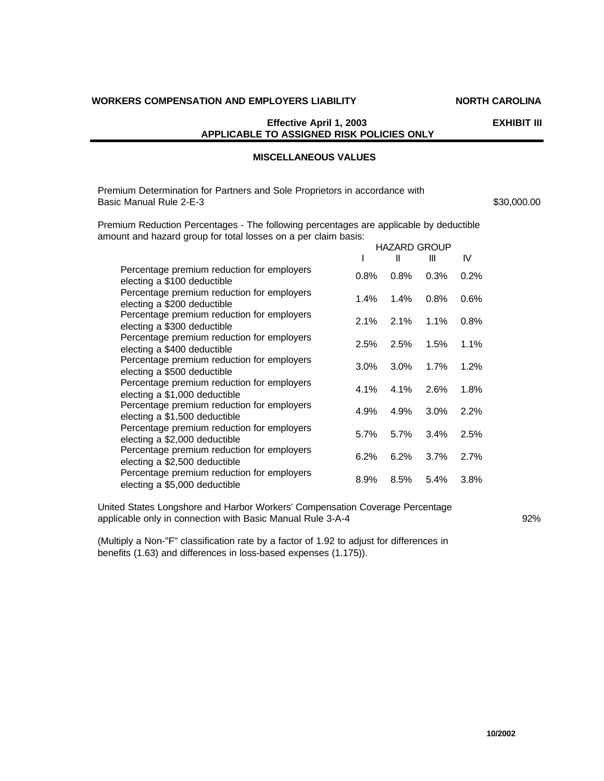## **Effective April 1, 2003 EXHIBIT III APPLICABLE TO ASSIGNED RISK POLICIES ONLY**

# **MISCELLANEOUS VALUES**

Premium Determination for Partners and Sole Proprietors in accordance with Basic Manual Rule 2-E-3 **\$30,000.00 \$30,000.00** 

Premium Reduction Percentages - The following percentages are applicable by deductible amount and hazard group for total losses on a per claim basis: HAZARD GROUP

|                                                                             |         | HAZARD GROUP |      |      |
|-----------------------------------------------------------------------------|---------|--------------|------|------|
|                                                                             |         | Ш            | Ш    | IV   |
| Percentage premium reduction for employers<br>electing a \$100 deductible   | $0.8\%$ | 0.8%         | 0.3% | 0.2% |
| Percentage premium reduction for employers<br>electing a \$200 deductible   | 1.4%    | 1.4%         | 0.8% | 0.6% |
| Percentage premium reduction for employers<br>electing a \$300 deductible   | $2.1\%$ | 2.1%         | 1.1% | 0.8% |
| Percentage premium reduction for employers<br>electing a \$400 deductible   | 2.5%    | 2.5%         | 1.5% | 1.1% |
| Percentage premium reduction for employers<br>electing a \$500 deductible   | $3.0\%$ | $3.0\%$      | 1.7% | 1.2% |
| Percentage premium reduction for employers<br>electing a \$1,000 deductible | 4.1%    | $4.1\%$      | 2.6% | 1.8% |
| Percentage premium reduction for employers<br>electing a \$1,500 deductible | 4.9%    | 4.9%         | 3.0% | 2.2% |
| Percentage premium reduction for employers<br>electing a \$2,000 deductible | $5.7\%$ | 5.7%         | 3.4% | 2.5% |
| Percentage premium reduction for employers<br>electing a \$2,500 deductible | 6.2%    | 6.2%         | 3.7% | 2.7% |
| Percentage premium reduction for employers<br>electing a \$5,000 deductible | 8.9%    | 8.5%         | 5.4% | 3.8% |

United States Longshore and Harbor Workers' Compensation Coverage Percentage applicable only in connection with Basic Manual Rule 3-A-4 92%

(Multiply a Non-"F" classification rate by a factor of 1.92 to adjust for differences in benefits (1.63) and differences in loss-based expenses (1.175)).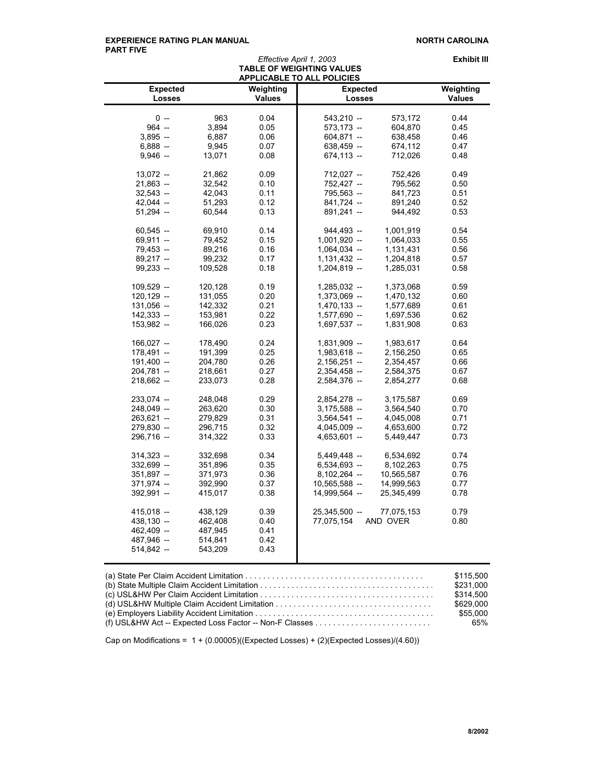#### EXPERIENCE RATING PLAN MANUAL **NORTH CAROLINA PART FIVE**

| <b>Expected</b><br><b>Losses</b><br>$0 -$<br>$964 -$<br>$3,895 -$<br>$6,888 -$<br>$9,946 -$<br>$13,072 -$ | 963<br>3,894<br>6,887<br>9,945 | Weighting<br><b>Values</b><br>0.04 | <b>Expected</b><br><b>Losses</b> |            | Weighting<br><b>Values</b> |
|-----------------------------------------------------------------------------------------------------------|--------------------------------|------------------------------------|----------------------------------|------------|----------------------------|
|                                                                                                           |                                |                                    |                                  |            |                            |
|                                                                                                           |                                |                                    |                                  |            |                            |
|                                                                                                           |                                |                                    | $543,210 -$                      | 573,172    | 0.44                       |
|                                                                                                           |                                | 0.05                               | $573,173 -$                      | 604,870    | 0.45                       |
|                                                                                                           |                                | 0.06                               | $604,871 -$                      | 638,458    | 0.46                       |
|                                                                                                           |                                | 0.07                               | $638,459 -$                      | 674,112    | 0.47                       |
|                                                                                                           | 13,071                         | 0.08                               | $674,113 -$                      | 712,026    | 0.48                       |
|                                                                                                           | 21,862                         | 0.09                               | $712,027 -$                      | 752,426    | 0.49                       |
| $21,863 -$                                                                                                | 32,542                         | 0.10                               | 752,427 -                        | 795,562    | 0.50                       |
| $32,543 -$                                                                                                | 42,043                         | 0.11                               | 795,563 -                        | 841,723    | 0.51                       |
| $42,044 -$                                                                                                | 51,293                         | 0.12                               | $841,724 -$                      | 891,240    | 0.52                       |
| $51,294 -$                                                                                                | 60,544                         | 0.13                               | $891,241 -$                      | 944,492    | 0.53                       |
| $60,545 -$                                                                                                | 69,910                         | 0.14                               | 944,493 --                       | 1,001,919  | 0.54                       |
| $69,911 -$                                                                                                | 79,452                         | 0.15                               | $1,001,920 -$                    | 1,064,033  | 0.55                       |
| $79,453 -$                                                                                                | 89,216                         | 0.16                               | $1,064,034 -$                    | 1,131,431  | 0.56                       |
| $89,217 -$                                                                                                | 99,232                         | 0.17                               | $1,131,432 -$                    | 1,204,818  | 0.57                       |
| $99,233 -$                                                                                                | 109,528                        | 0.18                               | $1,204,819 -$                    | 1,285,031  | 0.58                       |
| $109,529 -$                                                                                               | 120,128                        | 0.19                               | $1,285,032 -$                    | 1,373,068  | 0.59                       |
| $120, 129 -$                                                                                              | 131,055                        | 0.20                               | 1,373,069 --                     | 1,470,132  | 0.60                       |
| $131,056 -$                                                                                               |                                | 0.21                               | $1,470,133 -$                    |            | 0.61                       |
|                                                                                                           | 142,332                        |                                    |                                  | 1,577,689  |                            |
| 142,333 --                                                                                                | 153,981                        | 0.22                               | $1,577,690 -$                    | 1,697,536  | 0.62                       |
| $153,982 -$                                                                                               | 166,026                        | 0.23                               | $1,697,537 -$                    | 1,831,908  | 0.63                       |
| $166,027 -$                                                                                               | 178,490                        | 0.24                               | $1,831,909 -$                    | 1,983,617  | 0.64                       |
| $178,491 -$                                                                                               | 191,399                        | 0.25                               | $1,983,618 -$                    | 2,156,250  | 0.65                       |
| $191,400 -$                                                                                               | 204,780                        | 0.26                               | $2,156,251 -$                    | 2,354,457  | 0.66                       |
| 204,781 --                                                                                                | 218,661                        | 0.27                               | $2,354,458 -$                    | 2,584,375  | 0.67                       |
| $218,662 -$                                                                                               | 233,073                        | 0.28                               | $2,584,376 -$                    | 2,854,277  | 0.68                       |
| 233,074 --                                                                                                | 248,048                        | 0.29                               | $2,854,278 -$                    | 3,175,587  | 0.69                       |
| 248,049 --                                                                                                | 263,620                        | 0.30                               | $3,175,588 -$                    | 3,564,540  | 0.70                       |
| 263,621 --                                                                                                | 279,829                        | 0.31                               | $3,564,541 -$                    | 4,045,008  | 0.71                       |
| 279,830 --                                                                                                | 296,715                        | 0.32                               | $4,045,009 -$                    | 4,653,600  | 0.72                       |
| 296,716 --                                                                                                | 314,322                        | 0.33                               | $4,653,601 -$                    | 5,449,447  | 0.73                       |
| $314,323 -$                                                                                               | 332,698                        | 0.34                               | $5,449,448 -$                    | 6,534,692  | 0.74                       |
| 332,699 -                                                                                                 | 351,896                        | 0.35                               | 6,534,693 -                      | 8,102,263  | 0.75                       |
| $351,897 -$                                                                                               | 371,973                        | 0.36                               | $8,102,264 -$                    | 10,565,587 | 0.76                       |
| 371,974 --                                                                                                | 392,990                        | 0.37                               | $10,565,588 -$                   | 14,999,563 | 0.77                       |
| 392,991 --                                                                                                | 415,017                        | 0.38                               | 14,999,564 -                     | 25,345,499 | 0.78                       |
| 415,018 --                                                                                                | 438,129                        | 0.39                               | 25,345,500 -                     | 77,075,153 | 0.79                       |
| 438,130 --                                                                                                | 462,408                        | 0.40                               | 77,075,154                       | AND OVER   | 0.80                       |
| 462,409 --                                                                                                | 487,945                        | 0.41                               |                                  |            |                            |
| 487,946 --                                                                                                | 514,841                        | 0.42                               |                                  |            |                            |
| 514,842 --                                                                                                | 543,209                        | 0.43                               |                                  |            |                            |

| $\mathbf{u} \in \mathbb{R}$ . The contract of the contract of the contract of the contract of the contract of the contract of the contract of the contract of the contract of the contract of the contract of the contract of the contra<br>. |
|-----------------------------------------------------------------------------------------------------------------------------------------------------------------------------------------------------------------------------------------------|
| \$231.000                                                                                                                                                                                                                                     |
| \$314,500                                                                                                                                                                                                                                     |
| \$629.000                                                                                                                                                                                                                                     |
| \$55.000                                                                                                                                                                                                                                      |
| (f) USL&HW Act -- Expected Loss Factor -- Non-F Classes $\ldots \ldots \ldots \ldots \ldots \ldots \ldots \ldots$<br>65%                                                                                                                      |
|                                                                                                                                                                                                                                               |

Cap on Modifications = 1 + (0.00005)((Expected Losses) + (2)(Expected Losses)/(4.60))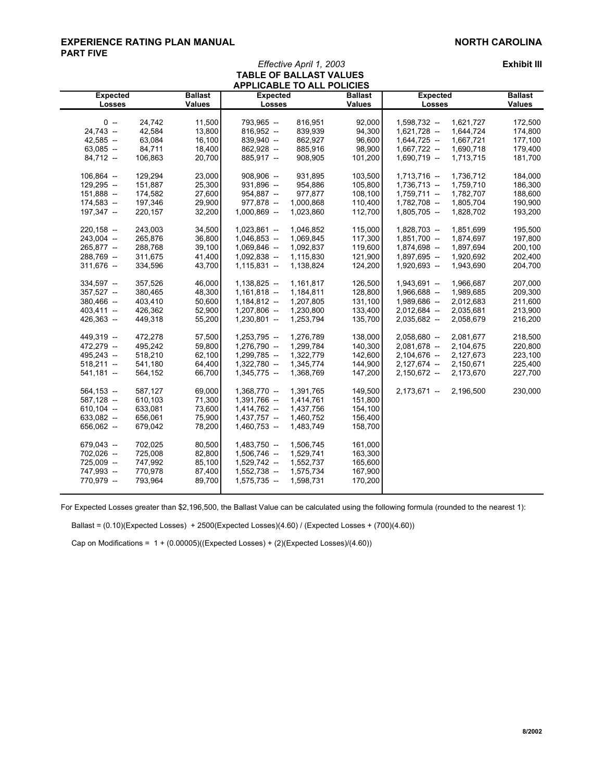## **EXPERIENCE RATING PLAN MANUAL NORTH CAROLINA PART FIVE**

*Effective April 1, 2003* **Exhibit III**

| <b>APPLICABLE TO ALL POLICIES</b> |         |                |                 |           |                |                 |           |                |  |
|-----------------------------------|---------|----------------|-----------------|-----------|----------------|-----------------|-----------|----------------|--|
| <b>Expected</b>                   |         | <b>Ballast</b> | <b>Expected</b> |           | <b>Ballast</b> | <b>Expected</b> |           | <b>Ballast</b> |  |
| <b>Losses</b>                     |         | <b>Values</b>  | Losses          |           | <b>Values</b>  | Losses          |           | <b>Values</b>  |  |
|                                   |         |                |                 |           |                |                 |           |                |  |
| $0 -$                             | 24,742  | 11,500         | 793,965 --      | 816,951   | 92,000         | 1,598,732 -     | 1,621,727 | 172,500        |  |
| 24,743 --                         | 42,584  | 13,800         | $816,952 -$     | 839,939   | 94,300         | $1,621,728 -$   | 1,644,724 | 174,800        |  |
| 42,585 --                         | 63,084  | 16,100         | 839,940 --      | 862,927   | 96,600         | $1,644,725 -$   | 1,667,721 | 177,100        |  |
| $63,085 -$                        | 84,711  | 18,400         | 862,928 --      | 885,916   | 98,900         | $1,667,722 -$   | 1,690,718 | 179,400        |  |
| $84,712 -$                        | 106,863 | 20,700         | 885,917 --      | 908,905   | 101,200        | $1,690,719 -$   | 1,713,715 | 181,700        |  |
| 106,864 --                        | 129,294 | 23,000         | $908,906 -$     | 931,895   | 103,500        | $1,713,716 -$   | 1,736,712 | 184,000        |  |
| 129,295 --                        | 151,887 | 25,300         | 931,896 --      | 954,886   | 105,800        | 1,736,713 --    | 1,759,710 | 186,300        |  |
| 151,888 --                        | 174,582 | 27,600         | 954,887 --      | 977,877   | 108,100        | $1,759,711 -$   | 1,782,707 | 188,600        |  |
| 174,583 --                        | 197,346 | 29,900         | 977,878 --      | 1,000,868 | 110,400        | 1,782,708 --    | 1,805,704 | 190,900        |  |
| 197,347 --                        | 220,157 | 32,200         | $1,000,869 -$   | 1,023,860 | 112,700        | $1,805,705 -$   | 1,828,702 | 193,200        |  |
| $220,158 -$                       | 243,003 | 34,500         | $1,023,861 -$   | 1,046,852 | 115,000        | 1,828,703 --    | 1,851,699 | 195,500        |  |
| 243,004 --                        | 265,876 | 36,800         | $1,046,853 -$   | 1,069,845 | 117,300        | $1,851,700 -$   | 1,874,697 | 197,800        |  |
| 265,877 --                        | 288,768 | 39,100         | $1,069,846 -$   | 1,092,837 | 119,600        | 1,874,698 --    | 1,897,694 | 200,100        |  |
| 288,769 --                        | 311,675 | 41,400         | $1,092,838 -$   | 1,115,830 | 121,900        | 1,897,695 --    | 1,920,692 | 202,400        |  |
| 311,676 --                        | 334,596 | 43,700         | $1,115,831 -$   | 1,138,824 | 124,200        | 1,920,693 --    | 1,943,690 | 204,700        |  |
| 334,597 --                        | 357,526 | 46,000         | $1,138,825 -$   | 1,161,817 | 126,500        | $1,943,691 -$   | 1,966,687 | 207,000        |  |
| 357,527 --                        | 380,465 | 48,300         | $1,161,818 -$   | 1,184,811 | 128,800        | 1,966,688 --    | 1,989,685 | 209,300        |  |
| 380,466 --                        | 403,410 | 50,600         | $1,184,812 -$   | 1,207,805 | 131,100        | 1,989,686 --    | 2,012,683 | 211,600        |  |
| $403,411 -$                       | 426,362 | 52,900         | $1,207,806 -$   | 1,230,800 | 133,400        | $2,012,684 -$   | 2,035,681 | 213,900        |  |
| 426,363 --                        | 449,318 | 55,200         | $1,230,801 -$   | 1,253,794 | 135,700        | $2,035,682 -$   | 2,058,679 | 216,200        |  |
|                                   |         |                |                 |           |                |                 |           |                |  |
| 449,319 --                        | 472,278 | 57,500         | $1,253,795 -$   | 1,276,789 | 138,000        | $2,058,680 -$   | 2,081,677 | 218,500        |  |
| 472,279 --                        | 495,242 | 59,800         | 1,276,790 --    | 1,299,784 | 140,300        | $2,081,678 -$   | 2,104,675 | 220,800        |  |
| 495,243 --                        | 518,210 | 62,100         | 1,299,785 --    | 1,322,779 | 142,600        | $2,104,676 -$   | 2,127,673 | 223,100        |  |
| $518,211 -$                       | 541,180 | 64,400         | 1,322,780 --    | 1,345,774 | 144,900        | $2,127,674 -$   | 2,150,671 | 225,400        |  |
| $541,181 -$                       | 564,152 | 66,700         | $1,345,775 -$   | 1,368,769 | 147,200        | $2,150,672 -$   | 2,173,670 | 227,700        |  |
| $564,153 -$                       | 587,127 | 69,000         | 1,368,770 --    | 1,391,765 | 149,500        | $2,173,671 -$   | 2,196,500 | 230,000        |  |
| $587,128 -$                       | 610,103 | 71,300         | 1,391,766 --    | 1,414,761 | 151,800        |                 |           |                |  |
| $610,104 -$                       | 633,081 | 73,600         | $1,414,762 -$   | 1,437,756 | 154,100        |                 |           |                |  |
| $633,082 -$                       | 656,061 | 75,900         | $1,437,757 -$   | 1,460,752 | 156,400        |                 |           |                |  |
| $656,062 -$                       | 679,042 | 78,200         | $1,460,753 -$   | 1,483,749 | 158,700        |                 |           |                |  |
| 679,043 --                        | 702,025 | 80,500         | $1,483,750 -$   | 1,506,745 | 161,000        |                 |           |                |  |
| 702,026 --                        | 725,008 | 82,800         | $1,506,746 -$   | 1,529,741 | 163,300        |                 |           |                |  |
| 725,009 --                        | 747,992 | 85,100         | $1,529,742 -$   | 1,552,737 | 165,600        |                 |           |                |  |
| 747,993 --                        | 770,978 | 87,400         | $1,552,738 -$   | 1,575,734 | 167,900        |                 |           |                |  |
| 770,979 --                        | 793,964 | 89,700         | $1,575,735 -$   | 1,598,731 | 170,200        |                 |           |                |  |
|                                   |         |                |                 |           |                |                 |           |                |  |

**TABLE OF BALLAST VALUES** 

For Expected Losses greater than \$2,196,500, the Ballast Value can be calculated using the following formula (rounded to the nearest 1):

Ballast = (0.10)(Expected Losses) + 2500(Expected Losses)(4.60) / (Expected Losses + (700)(4.60))

Cap on Modifications =  $1 + (0.00005)((Expected Losses) + (2)(Expected Losses)/(4.60))$